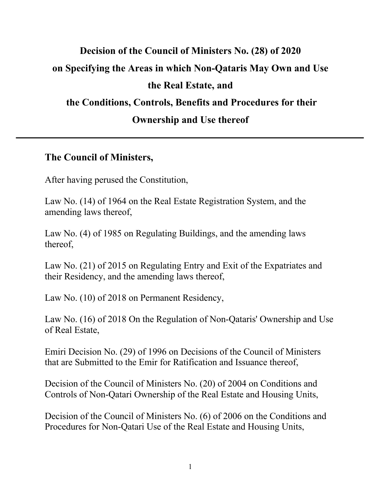# **Decision of the Council of Ministers No. (28) of 2020 on Specifying the Areas in which Non-Qataris May Own and Use the Real Estate, and the Conditions, Controls, Benefits and Procedures for their Ownership and Use thereof**

#### **The Council of Ministers,**

After having perused the Constitution,

Law No. (14) of 1964 on the Real Estate Registration System, and the amending laws thereof,

Law No. (4) of 1985 on Regulating Buildings, and the amending laws thereof,

Law No. (21) of 2015 on Regulating Entry and Exit of the Expatriates and their Residency, and the amending laws thereof,

Law No. (10) of 2018 on Permanent Residency,

Law No. (16) of 2018 On the Regulation of Non-Qataris' Ownership and Use of Real Estate,

Emiri Decision No. (29) of 1996 on Decisions of the Council of Ministers that are Submitted to the Emir for Ratification and Issuance thereof,

Decision of the Council of Ministers No. (20) of 2004 on Conditions and Controls of Non-Qatari Ownership of the Real Estate and Housing Units,

Decision of the Council of Ministers No. (6) of 2006 on the Conditions and Procedures for Non-Qatari Use of the Real Estate and Housing Units,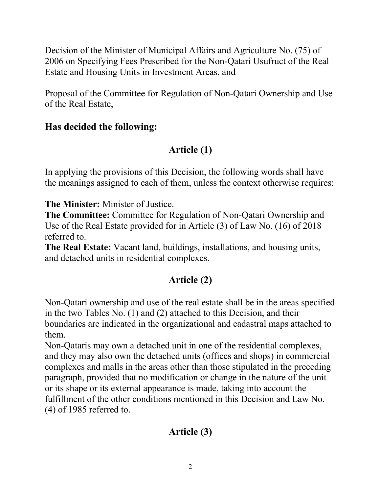Decision of the Minister of Municipal Affairs and Agriculture No. (75) of 2006 on Specifying Fees Prescribed for the Non-Qatari Usufruct of the Real Estate and Housing Units in Investment Areas, and

Proposal of the Committee for Regulation of Non-Qatari Ownership and Use of the Real Estate,

### **Has decided the following:**

# **Article (1)**

In applying the provisions of this Decision, the following words shall have the meanings assigned to each of them, unless the context otherwise requires:

**The Minister:** Minister of Justice.

**The Committee:** Committee for Regulation of Non-Qatari Ownership and Use of the Real Estate provided for in Article (3) of Law No. (16) of 2018 referred to.

**The Real Estate:** Vacant land, buildings, installations, and housing units, and detached units in residential complexes.

# **Article (2)**

Non-Qatari ownership and use of the real estate shall be in the areas specified in the two Tables No. (1) and (2) attached to this Decision, and their boundaries are indicated in the organizational and cadastral maps attached to them.

Non-Qataris may own a detached unit in one of the residential complexes, and they may also own the detached units (offices and shops) in commercial complexes and malls in the areas other than those stipulated in the preceding paragraph, provided that no modification or change in the nature of the unit or its shape or its external appearance is made, taking into account the fulfillment of the other conditions mentioned in this Decision and Law No. (4) of 1985 referred to.

# **Article (3)**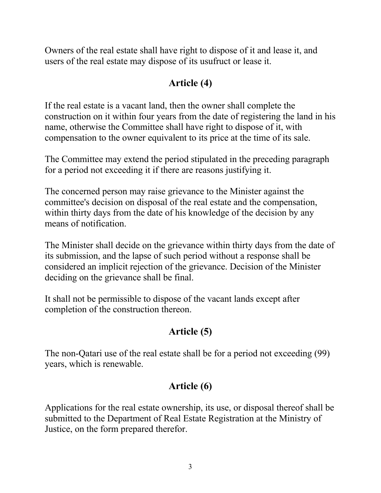Owners of the real estate shall have right to dispose of it and lease it, and users of the real estate may dispose of its usufruct or lease it.

## **Article (4)**

If the real estate is a vacant land, then the owner shall complete the construction on it within four years from the date of registering the land in his name, otherwise the Committee shall have right to dispose of it, with compensation to the owner equivalent to its price at the time of its sale.

The Committee may extend the period stipulated in the preceding paragraph for a period not exceeding it if there are reasons justifying it.

The concerned person may raise grievance to the Minister against the committee's decision on disposal of the real estate and the compensation, within thirty days from the date of his knowledge of the decision by any means of notification.

The Minister shall decide on the grievance within thirty days from the date of its submission, and the lapse of such period without a response shall be considered an implicit rejection of the grievance. Decision of the Minister deciding on the grievance shall be final.

It shall not be permissible to dispose of the vacant lands except after completion of the construction thereon.

## **Article (5)**

The non-Qatari use of the real estate shall be for a period not exceeding (99) years, which is renewable.

# **Article (6)**

Applications for the real estate ownership, its use, or disposal thereof shall be submitted to the Department of Real Estate Registration at the Ministry of Justice, on the form prepared therefor.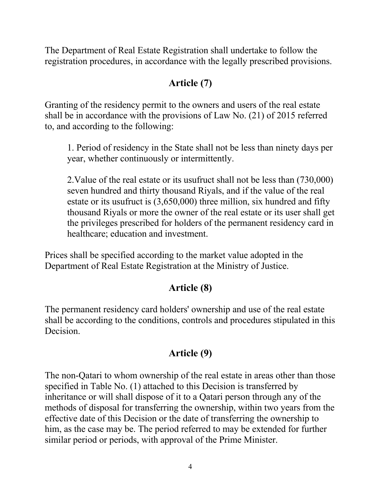The Department of Real Estate Registration shall undertake to follow the registration procedures, in accordance with the legally prescribed provisions.

### **Article (7)**

Granting of the residency permit to the owners and users of the real estate shall be in accordance with the provisions of Law No. (21) of 2015 referred to, and according to the following:

1. Period of residency in the State shall not be less than ninety days per year, whether continuously or intermittently.

2.Value of the real estate or its usufruct shall not be less than (730,000) seven hundred and thirty thousand Riyals, and if the value of the real estate or its usufruct is (3,650,000) three million, six hundred and fifty thousand Riyals or more the owner of the real estate or its user shall get the privileges prescribed for holders of the permanent residency card in healthcare; education and investment.

Prices shall be specified according to the market value adopted in the Department of Real Estate Registration at the Ministry of Justice.

#### **Article (8)**

The permanent residency card holders' ownership and use of the real estate shall be according to the conditions, controls and procedures stipulated in this Decision.

## **Article (9)**

The non-Qatari to whom ownership of the real estate in areas other than those specified in Table No. (1) attached to this Decision is transferred by inheritance or will shall dispose of it to a Qatari person through any of the methods of disposal for transferring the ownership, within two years from the effective date of this Decision or the date of transferring the ownership to him, as the case may be. The period referred to may be extended for further similar period or periods, with approval of the Prime Minister.